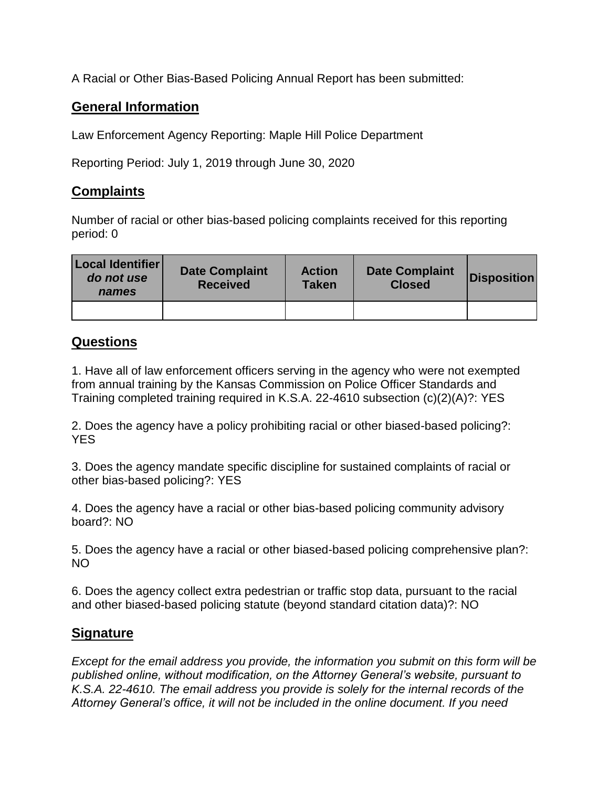A Racial or Other Bias-Based Policing Annual Report has been submitted:

## **General Information**

Law Enforcement Agency Reporting: Maple Hill Police Department

Reporting Period: July 1, 2019 through June 30, 2020

## **Complaints**

Number of racial or other bias-based policing complaints received for this reporting period: 0

| Local Identifier<br>do not use<br>names | <b>Date Complaint</b><br><b>Received</b> | <b>Action</b><br><b>Taken</b> | <b>Date Complaint</b><br><b>Closed</b> | <b>Disposition</b> |
|-----------------------------------------|------------------------------------------|-------------------------------|----------------------------------------|--------------------|
|                                         |                                          |                               |                                        |                    |

## **Questions**

1. Have all of law enforcement officers serving in the agency who were not exempted from annual training by the Kansas Commission on Police Officer Standards and Training completed training required in K.S.A. 22-4610 subsection (c)(2)(A)?: YES

2. Does the agency have a policy prohibiting racial or other biased-based policing?: YES

3. Does the agency mandate specific discipline for sustained complaints of racial or other bias-based policing?: YES

4. Does the agency have a racial or other bias-based policing community advisory board?: NO

5. Does the agency have a racial or other biased-based policing comprehensive plan?: NO

6. Does the agency collect extra pedestrian or traffic stop data, pursuant to the racial and other biased-based policing statute (beyond standard citation data)?: NO

## **Signature**

*Except for the email address you provide, the information you submit on this form will be published online, without modification, on the Attorney General's website, pursuant to K.S.A. 22-4610. The email address you provide is solely for the internal records of the Attorney General's office, it will not be included in the online document. If you need*